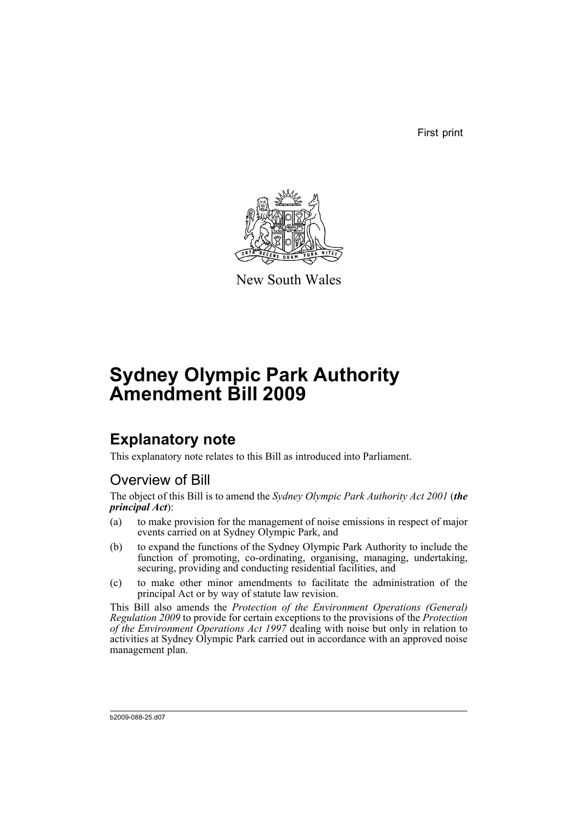First print



New South Wales

# **Sydney Olympic Park Authority Amendment Bill 2009**

## **Explanatory note**

This explanatory note relates to this Bill as introduced into Parliament.

### Overview of Bill

The object of this Bill is to amend the *Sydney Olympic Park Authority Act 2001* (*the principal Act*):

- (a) to make provision for the management of noise emissions in respect of major events carried on at Sydney Olympic Park, and
- (b) to expand the functions of the Sydney Olympic Park Authority to include the function of promoting, co-ordinating, organising, managing, undertaking, securing, providing and conducting residential facilities, and
- (c) to make other minor amendments to facilitate the administration of the principal Act or by way of statute law revision.

This Bill also amends the *Protection of the Environment Operations (General) Regulation 2009* to provide for certain exceptions to the provisions of the *Protection of the Environment Operations Act 1997* dealing with noise but only in relation to activities at Sydney Olympic Park carried out in accordance with an approved noise management plan.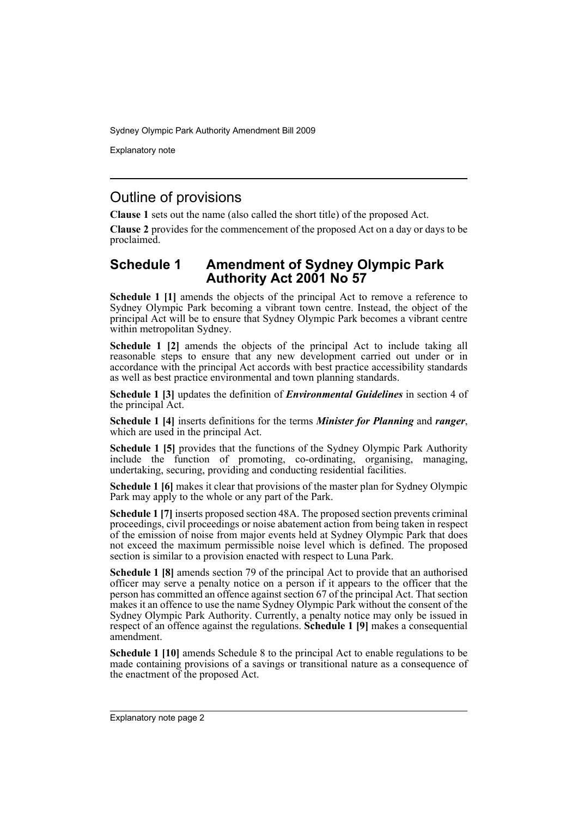Explanatory note

### Outline of provisions

**Clause 1** sets out the name (also called the short title) of the proposed Act.

**Clause 2** provides for the commencement of the proposed Act on a day or days to be proclaimed.

#### **Schedule 1 Amendment of Sydney Olympic Park Authority Act 2001 No 57**

**Schedule 1 [1]** amends the objects of the principal Act to remove a reference to Sydney Olympic Park becoming a vibrant town centre. Instead, the object of the principal Act will be to ensure that Sydney Olympic Park becomes a vibrant centre within metropolitan Sydney.

**Schedule 1 [2]** amends the objects of the principal Act to include taking all reasonable steps to ensure that any new development carried out under or in accordance with the principal Act accords with best practice accessibility standards as well as best practice environmental and town planning standards.

**Schedule 1 [3]** updates the definition of *Environmental Guidelines* in section 4 of the principal Act.

**Schedule 1 [4]** inserts definitions for the terms *Minister for Planning* and *ranger*, which are used in the principal Act.

**Schedule 1 [5]** provides that the functions of the Sydney Olympic Park Authority include the function of promoting, co-ordinating, organising, managing, undertaking, securing, providing and conducting residential facilities.

**Schedule 1 [6]** makes it clear that provisions of the master plan for Sydney Olympic Park may apply to the whole or any part of the Park.

**Schedule 1 [7]** inserts proposed section 48A. The proposed section prevents criminal proceedings, civil proceedings or noise abatement action from being taken in respect of the emission of noise from major events held at Sydney Olympic Park that does not exceed the maximum permissible noise level which is defined. The proposed section is similar to a provision enacted with respect to Luna Park.

**Schedule 1 [8]** amends section 79 of the principal Act to provide that an authorised officer may serve a penalty notice on a person if it appears to the officer that the person has committed an offence against section 67 of the principal Act. That section makes it an offence to use the name Sydney Olympic Park without the consent of the Sydney Olympic Park Authority. Currently, a penalty notice may only be issued in respect of an offence against the regulations. **Schedule 1 [9]** makes a consequential amendment.

**Schedule 1 [10]** amends Schedule 8 to the principal Act to enable regulations to be made containing provisions of a savings or transitional nature as a consequence of the enactment of the proposed Act.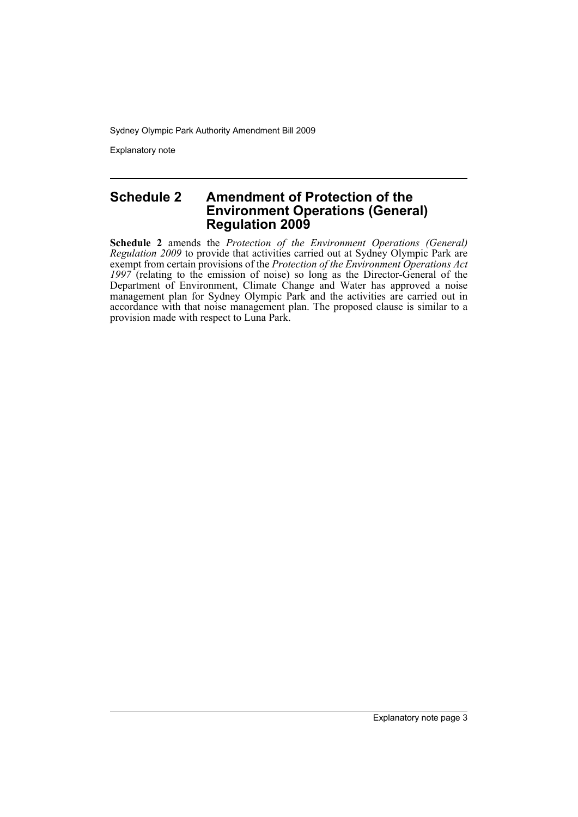Explanatory note

#### **Schedule 2 Amendment of Protection of the Environment Operations (General) Regulation 2009**

**Schedule 2** amends the *Protection of the Environment Operations (General) Regulation 2009* to provide that activities carried out at Sydney Olympic Park are exempt from certain provisions of the *Protection of the Environment Operations Act 1997* (relating to the emission of noise) so long as the Director-General of the Department of Environment, Climate Change and Water has approved a noise management plan for Sydney Olympic Park and the activities are carried out in accordance with that noise management plan. The proposed clause is similar to a provision made with respect to Luna Park.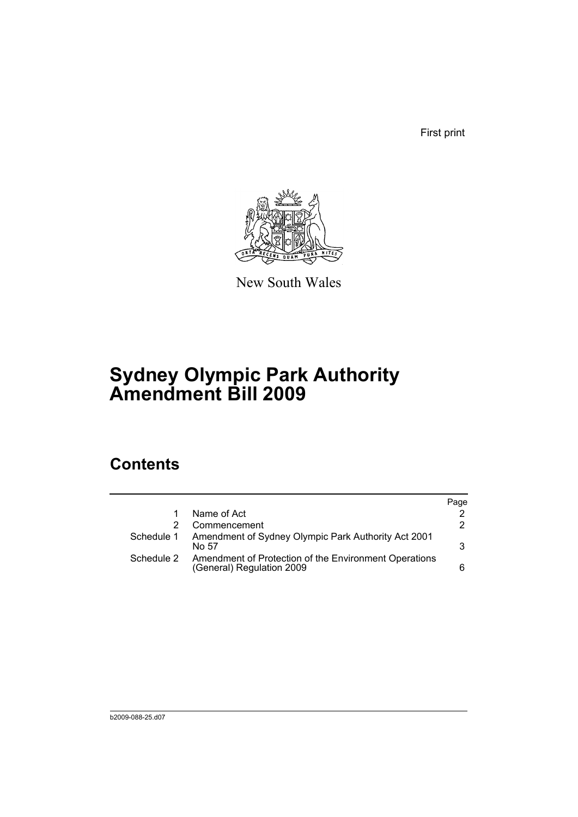First print



New South Wales

## **Sydney Olympic Park Authority Amendment Bill 2009**

## **Contents**

|            |                                                                                    | Page |
|------------|------------------------------------------------------------------------------------|------|
|            | Name of Act                                                                        |      |
|            | Commencement                                                                       | 2    |
| Schedule 1 | Amendment of Sydney Olympic Park Authority Act 2001<br>No 57                       | 3    |
| Schedule 2 | Amendment of Protection of the Environment Operations<br>(General) Regulation 2009 | 6    |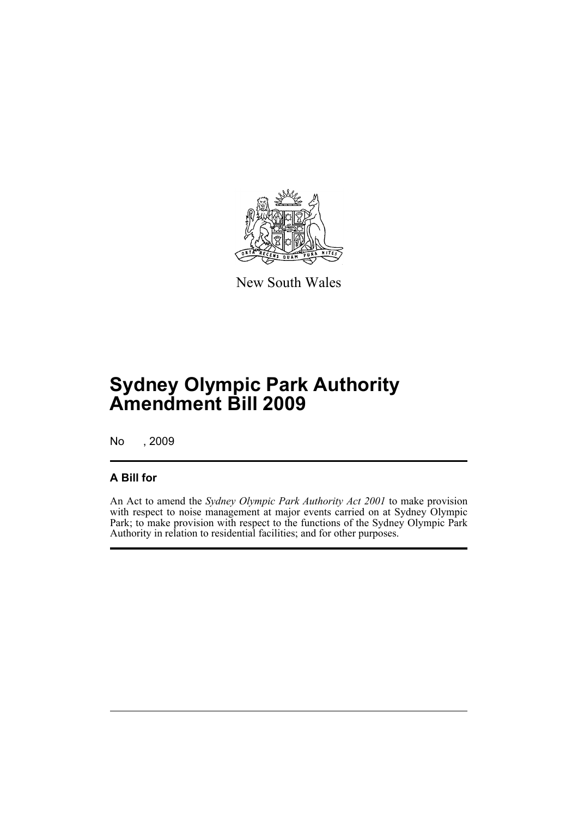

New South Wales

## **Sydney Olympic Park Authority Amendment Bill 2009**

No , 2009

### **A Bill for**

An Act to amend the *Sydney Olympic Park Authority Act 2001* to make provision with respect to noise management at major events carried on at Sydney Olympic Park; to make provision with respect to the functions of the Sydney Olympic Park Authority in relation to residential facilities; and for other purposes.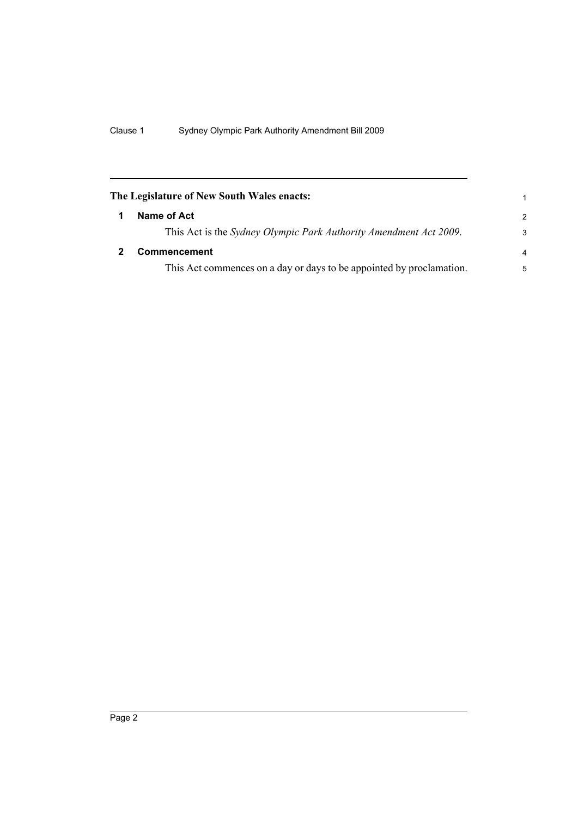<span id="page-7-1"></span><span id="page-7-0"></span>

| The Legislature of New South Wales enacts: |                                                                           | 1             |
|--------------------------------------------|---------------------------------------------------------------------------|---------------|
|                                            | Name of Act                                                               | $\mathcal{P}$ |
|                                            | This Act is the <i>Sydney Olympic Park Authority Amendment Act 2009</i> . | 3             |
|                                            | <b>Commencement</b>                                                       | 4             |
|                                            | This Act commences on a day or days to be appointed by proclamation.      | 5             |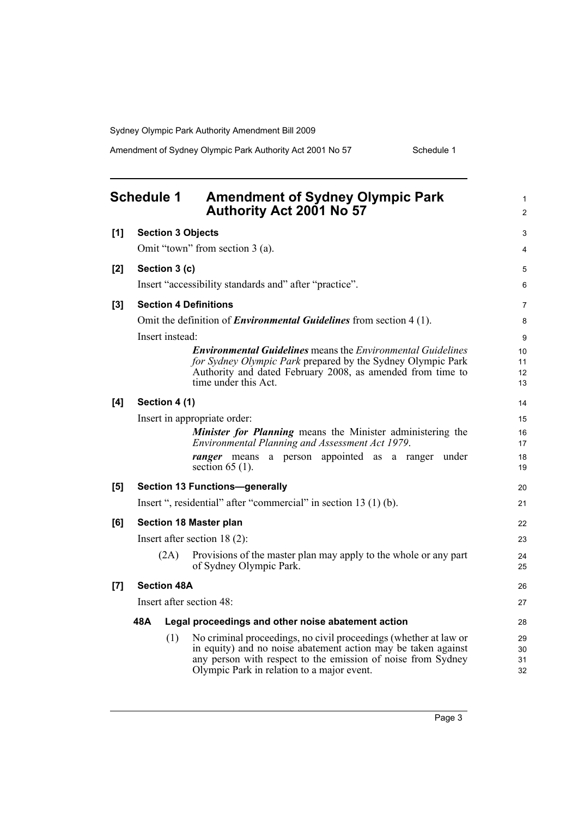Amendment of Sydney Olympic Park Authority Act 2001 No 57 Schedule 1

<span id="page-8-0"></span>

| <b>Schedule 1</b><br><b>Amendment of Sydney Olympic Park</b><br>Authority Act 2001 No 57 |                                                                  |                              | 1<br>2                                                                                                                                                                                                                                          |                      |
|------------------------------------------------------------------------------------------|------------------------------------------------------------------|------------------------------|-------------------------------------------------------------------------------------------------------------------------------------------------------------------------------------------------------------------------------------------------|----------------------|
| [1]                                                                                      |                                                                  | <b>Section 3 Objects</b>     |                                                                                                                                                                                                                                                 | 3                    |
|                                                                                          | Omit "town" from section 3 (a).                                  |                              |                                                                                                                                                                                                                                                 | 4                    |
| [2]                                                                                      |                                                                  | Section 3 (c)                |                                                                                                                                                                                                                                                 | 5                    |
|                                                                                          |                                                                  |                              | Insert "accessibility standards and" after "practice".                                                                                                                                                                                          | 6                    |
| $[3]$                                                                                    |                                                                  | <b>Section 4 Definitions</b> |                                                                                                                                                                                                                                                 | $\overline{7}$       |
|                                                                                          |                                                                  |                              | Omit the definition of <i>Environmental Guidelines</i> from section 4 (1).                                                                                                                                                                      | 8                    |
|                                                                                          |                                                                  | Insert instead:              |                                                                                                                                                                                                                                                 | 9                    |
|                                                                                          |                                                                  |                              | <b>Environmental Guidelines</b> means the <i>Environmental Guidelines</i><br>for Sydney Olympic Park prepared by the Sydney Olympic Park<br>Authority and dated February 2008, as amended from time to<br>time under this Act.                  | 10<br>11<br>12<br>13 |
| [4]                                                                                      |                                                                  | Section 4 (1)                |                                                                                                                                                                                                                                                 | 14                   |
|                                                                                          |                                                                  |                              | Insert in appropriate order:                                                                                                                                                                                                                    | 15                   |
|                                                                                          |                                                                  |                              | <b>Minister for Planning</b> means the Minister administering the<br>Environmental Planning and Assessment Act 1979.                                                                                                                            | 16<br>17             |
|                                                                                          |                                                                  |                              | ranger means a person appointed as a ranger under<br>section $65(1)$ .                                                                                                                                                                          | 18<br>19             |
| [5]                                                                                      | <b>Section 13 Functions-generally</b>                            |                              | 20                                                                                                                                                                                                                                              |                      |
|                                                                                          | Insert ", residential" after "commercial" in section 13 (1) (b). |                              | 21                                                                                                                                                                                                                                              |                      |
| [6]                                                                                      | Section 18 Master plan                                           |                              |                                                                                                                                                                                                                                                 | 22                   |
|                                                                                          |                                                                  |                              | Insert after section $18(2)$ :                                                                                                                                                                                                                  | 23                   |
|                                                                                          |                                                                  | (2A)                         | Provisions of the master plan may apply to the whole or any part<br>of Sydney Olympic Park.                                                                                                                                                     | 24<br>25             |
| $[7]$                                                                                    |                                                                  | <b>Section 48A</b>           |                                                                                                                                                                                                                                                 | 26                   |
|                                                                                          | Insert after section 48:                                         |                              | 27                                                                                                                                                                                                                                              |                      |
|                                                                                          | 48A                                                              |                              | Legal proceedings and other noise abatement action                                                                                                                                                                                              | 28                   |
|                                                                                          |                                                                  | (1)                          | No criminal proceedings, no civil proceedings (whether at law or<br>in equity) and no noise abatement action may be taken against<br>any person with respect to the emission of noise from Sydney<br>Olympic Park in relation to a major event. | 29<br>30<br>31<br>32 |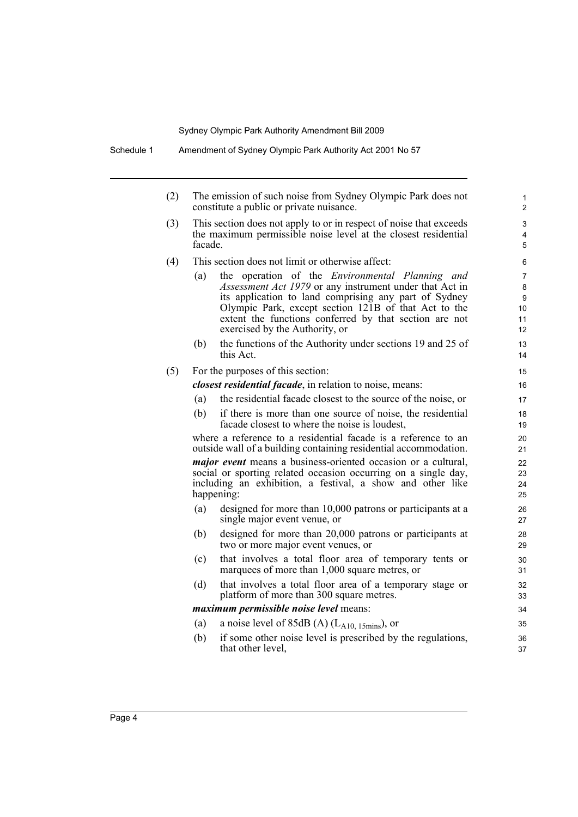| (2) | The emission of such noise from Sydney Olympic Park does not<br>constitute a public or private nuisance.                                        |                                                                                                                                                                                                                                                                                                                                |                                                               |
|-----|-------------------------------------------------------------------------------------------------------------------------------------------------|--------------------------------------------------------------------------------------------------------------------------------------------------------------------------------------------------------------------------------------------------------------------------------------------------------------------------------|---------------------------------------------------------------|
| (3) | This section does not apply to or in respect of noise that exceeds<br>the maximum permissible noise level at the closest residential<br>facade. |                                                                                                                                                                                                                                                                                                                                | 3<br>$\overline{4}$<br>5                                      |
| (4) |                                                                                                                                                 | This section does not limit or otherwise affect:                                                                                                                                                                                                                                                                               | 6                                                             |
|     | (a)                                                                                                                                             | the operation of the <i>Environmental Planning and</i><br>Assessment Act 1979 or any instrument under that Act in<br>its application to land comprising any part of Sydney<br>Olympic Park, except section 121B of that Act to the<br>extent the functions conferred by that section are not<br>exercised by the Authority, or | $\overline{7}$<br>$\bf 8$<br>9<br>10<br>11<br>12 <sup>2</sup> |
|     | (b)                                                                                                                                             | the functions of the Authority under sections 19 and 25 of<br>this Act.                                                                                                                                                                                                                                                        | 13<br>14                                                      |
| (5) |                                                                                                                                                 | For the purposes of this section:                                                                                                                                                                                                                                                                                              | 15                                                            |
|     |                                                                                                                                                 | <i>closest residential facade</i> , in relation to noise, means:                                                                                                                                                                                                                                                               | 16                                                            |
|     | (a)                                                                                                                                             | the residential facade closest to the source of the noise, or                                                                                                                                                                                                                                                                  | 17                                                            |
|     | (b)                                                                                                                                             | if there is more than one source of noise, the residential<br>facade closest to where the noise is loudest,                                                                                                                                                                                                                    | 18<br>19                                                      |
|     |                                                                                                                                                 | where a reference to a residential facade is a reference to an<br>outside wall of a building containing residential accommodation.                                                                                                                                                                                             | 20<br>21                                                      |
|     |                                                                                                                                                 | <i>major event</i> means a business-oriented occasion or a cultural,<br>social or sporting related occasion occurring on a single day,<br>including an exhibition, a festival, a show and other like<br>happening:                                                                                                             | 22<br>23<br>24<br>25                                          |
|     | (a)                                                                                                                                             | designed for more than 10,000 patrons or participants at a<br>single major event venue, or                                                                                                                                                                                                                                     | 26<br>27                                                      |
|     | (b)                                                                                                                                             | designed for more than 20,000 patrons or participants at<br>two or more major event venues, or                                                                                                                                                                                                                                 | 28<br>29                                                      |
|     | (c)                                                                                                                                             | that involves a total floor area of temporary tents or<br>marquees of more than 1,000 square metres, or                                                                                                                                                                                                                        | 30<br>31                                                      |
|     | (d)                                                                                                                                             | that involves a total floor area of a temporary stage or<br>platform of more than 300 square metres.                                                                                                                                                                                                                           | 32<br>33                                                      |
|     |                                                                                                                                                 | <i>maximum permissible noise level</i> means:                                                                                                                                                                                                                                                                                  | 34                                                            |
|     | (a)                                                                                                                                             | a noise level of 85dB (A) $(L_{A10, 15 mins})$ , or                                                                                                                                                                                                                                                                            | 35                                                            |

(b) if some other noise level is prescribed by the regulations, that other level,

36 37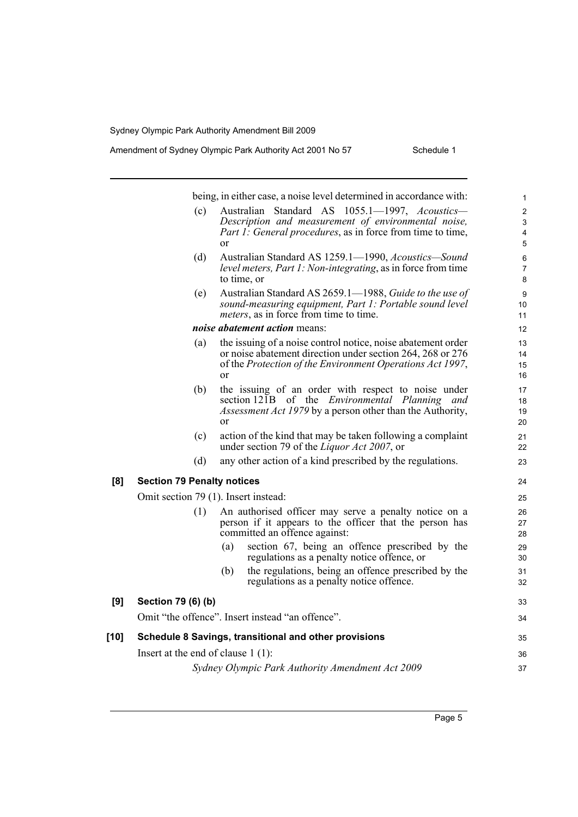|      |                                      | being, in either case, a noise level determined in accordance with:                                                                                                  | 1             |
|------|--------------------------------------|----------------------------------------------------------------------------------------------------------------------------------------------------------------------|---------------|
|      | (c)                                  | Australian Standard AS 1055.1-1997, Acoustics-                                                                                                                       | $\mathbf{2}$  |
|      |                                      | Description and measurement of environmental noise,                                                                                                                  | 3             |
|      |                                      | <i>Part 1: General procedures, as in force from time to time,</i><br><sub>or</sub>                                                                                   | 4<br>5        |
|      | (d)                                  | Australian Standard AS 1259.1-1990, Acoustics-Sound<br><i>level meters, Part 1: Non-integrating, as in force from time</i><br>to time, or                            | 6<br>7<br>8   |
|      | (e)                                  | Australian Standard AS 2659.1-1988, Guide to the use of<br>sound-measuring equipment, Part 1: Portable sound level<br><i>meters</i> , as in force from time to time. | 9<br>10<br>11 |
|      |                                      | noise abatement action means:                                                                                                                                        | 12            |
|      | (a)                                  | the issuing of a noise control notice, noise abatement order                                                                                                         | 13            |
|      |                                      | or noise abatement direction under section 264, 268 or 276<br>of the Protection of the Environment Operations Act 1997,                                              | 14<br>15      |
|      |                                      | <sub>or</sub>                                                                                                                                                        | 16            |
|      | (b)                                  | the issuing of an order with respect to noise under                                                                                                                  | 17            |
|      |                                      | section 121B of the <i>Environmental Planning and</i>                                                                                                                | 18            |
|      |                                      | <i>Assessment Act 1979</i> by a person other than the Authority,<br><sub>or</sub>                                                                                    | 19<br>20      |
|      | (c)                                  | action of the kind that may be taken following a complaint                                                                                                           | 21            |
|      |                                      | under section 79 of the <i>Liquor Act 2007</i> , or                                                                                                                  | 22            |
|      | (d)                                  | any other action of a kind prescribed by the regulations.                                                                                                            | 23            |
| [8]  | <b>Section 79 Penalty notices</b>    |                                                                                                                                                                      | 24            |
|      | Omit section 79 (1). Insert instead: |                                                                                                                                                                      | 25            |
|      | (1)                                  | An authorised officer may serve a penalty notice on a                                                                                                                | 26            |
|      |                                      | person if it appears to the officer that the person has<br>committed an offence against:                                                                             | 27<br>28      |
|      |                                      | section 67, being an offence prescribed by the<br>(a)                                                                                                                | 29            |
|      |                                      | regulations as a penalty notice offence, or                                                                                                                          | 30            |
|      |                                      | the regulations, being an offence prescribed by the<br>(b)<br>regulations as a penalty notice offence.                                                               | 31<br>32      |
| [9]  | Section 79 (6) (b)                   |                                                                                                                                                                      | 33            |
|      |                                      | Omit "the offence". Insert instead "an offence".                                                                                                                     | 34            |
| [10] |                                      | Schedule 8 Savings, transitional and other provisions                                                                                                                | 35            |
|      | Insert at the end of clause $1(1)$ : |                                                                                                                                                                      | 36            |
|      |                                      | Sydney Olympic Park Authority Amendment Act 2009                                                                                                                     | 37            |